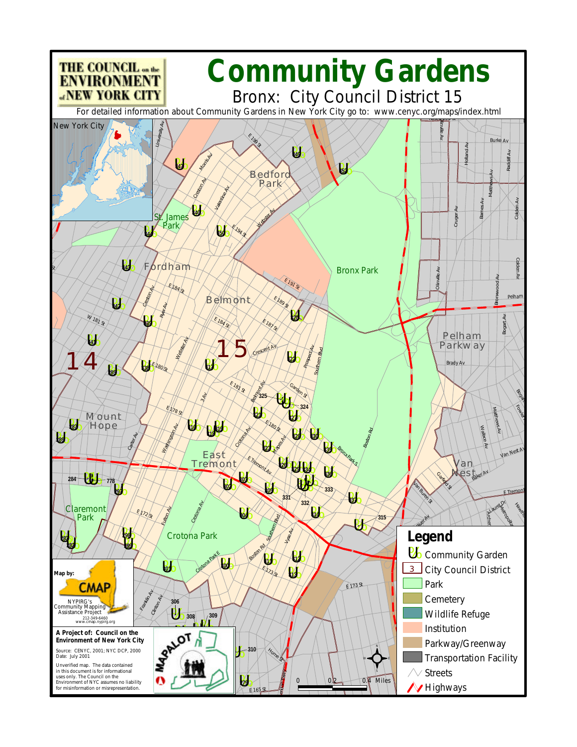